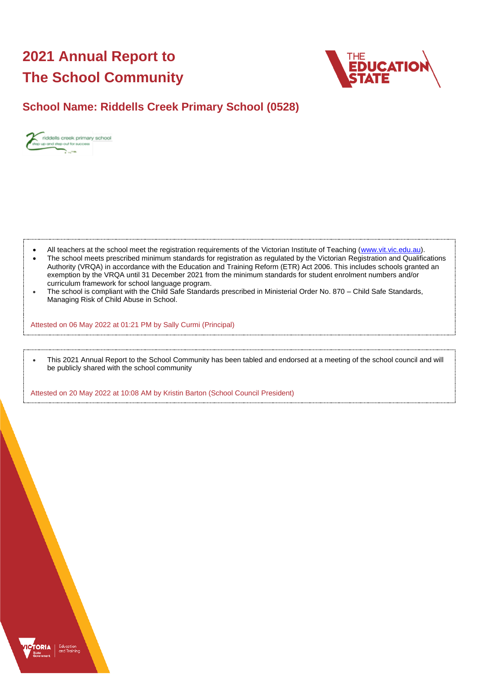# **2021 Annual Report to The School Community**



# **School Name: Riddells Creek Primary School (0528)**



- All teachers at the school meet the registration requirements of the Victorian Institute of Teaching [\(www.vit.vic.edu.au\)](https://www.vit.vic.edu.au/).
- The school meets prescribed minimum standards for registration as regulated by the Victorian Registration and Qualifications Authority (VRQA) in accordance with the Education and Training Reform (ETR) Act 2006. This includes schools granted an exemption by the VRQA until 31 December 2021 from the minimum standards for student enrolment numbers and/or curriculum framework for school language program.
- The school is compliant with the Child Safe Standards prescribed in Ministerial Order No. 870 Child Safe Standards, Managing Risk of Child Abuse in School.

Attested on 06 May 2022 at 01:21 PM by Sally Curmi (Principal)

• This 2021 Annual Report to the School Community has been tabled and endorsed at a meeting of the school council and will be publicly shared with the school community

Attested on 20 May 2022 at 10:08 AM by Kristin Barton (School Council President)

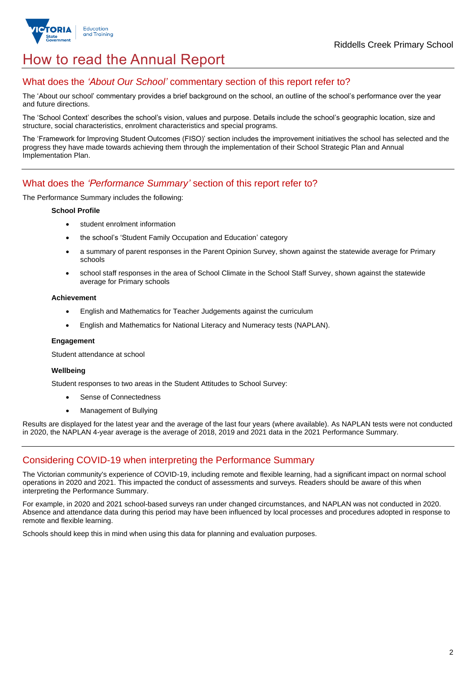

# How to read the Annual Report

## What does the *'About Our School'* commentary section of this report refer to?

The 'About our school' commentary provides a brief background on the school, an outline of the school's performance over the year and future directions.

The 'School Context' describes the school's vision, values and purpose. Details include the school's geographic location, size and structure, social characteristics, enrolment characteristics and special programs.

The 'Framework for Improving Student Outcomes (FISO)' section includes the improvement initiatives the school has selected and the progress they have made towards achieving them through the implementation of their School Strategic Plan and Annual Implementation Plan.

## What does the *'Performance Summary'* section of this report refer to?

The Performance Summary includes the following:

#### **School Profile**

- student enrolment information
- the school's 'Student Family Occupation and Education' category
- a summary of parent responses in the Parent Opinion Survey, shown against the statewide average for Primary schools
- school staff responses in the area of School Climate in the School Staff Survey, shown against the statewide average for Primary schools

#### **Achievement**

- English and Mathematics for Teacher Judgements against the curriculum
- English and Mathematics for National Literacy and Numeracy tests (NAPLAN).

#### **Engagement**

Student attendance at school

#### **Wellbeing**

Student responses to two areas in the Student Attitudes to School Survey:

- Sense of Connectedness
- Management of Bullying

Results are displayed for the latest year and the average of the last four years (where available). As NAPLAN tests were not conducted in 2020, the NAPLAN 4-year average is the average of 2018, 2019 and 2021 data in the 2021 Performance Summary.

## Considering COVID-19 when interpreting the Performance Summary

The Victorian community's experience of COVID-19, including remote and flexible learning, had a significant impact on normal school operations in 2020 and 2021. This impacted the conduct of assessments and surveys. Readers should be aware of this when interpreting the Performance Summary.

For example, in 2020 and 2021 school-based surveys ran under changed circumstances, and NAPLAN was not conducted in 2020. Absence and attendance data during this period may have been influenced by local processes and procedures adopted in response to remote and flexible learning.

Schools should keep this in mind when using this data for planning and evaluation purposes.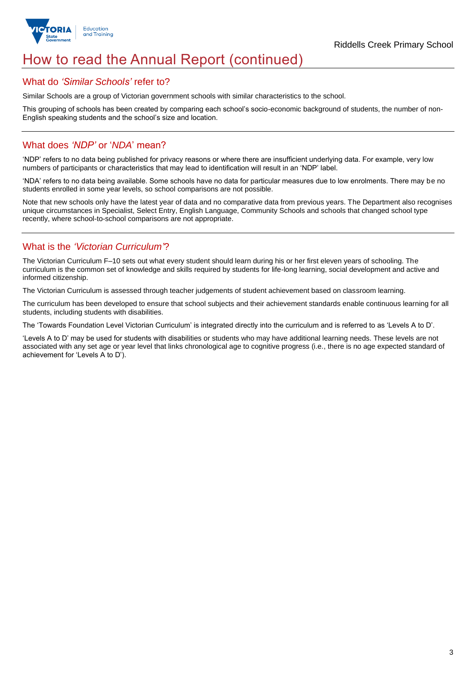

# How to read the Annual Report (continued)

### What do *'Similar Schools'* refer to?

Similar Schools are a group of Victorian government schools with similar characteristics to the school.

This grouping of schools has been created by comparing each school's socio-economic background of students, the number of non-English speaking students and the school's size and location.

## What does *'NDP'* or '*NDA*' mean?

'NDP' refers to no data being published for privacy reasons or where there are insufficient underlying data. For example, very low numbers of participants or characteristics that may lead to identification will result in an 'NDP' label.

'NDA' refers to no data being available. Some schools have no data for particular measures due to low enrolments. There may be no students enrolled in some year levels, so school comparisons are not possible.

Note that new schools only have the latest year of data and no comparative data from previous years. The Department also recognises unique circumstances in Specialist, Select Entry, English Language, Community Schools and schools that changed school type recently, where school-to-school comparisons are not appropriate.

# What is the *'Victorian Curriculum'*?

The Victorian Curriculum F–10 sets out what every student should learn during his or her first eleven years of schooling. The curriculum is the common set of knowledge and skills required by students for life-long learning, social development and active and informed citizenship.

The Victorian Curriculum is assessed through teacher judgements of student achievement based on classroom learning.

The curriculum has been developed to ensure that school subjects and their achievement standards enable continuous learning for all students, including students with disabilities.

The 'Towards Foundation Level Victorian Curriculum' is integrated directly into the curriculum and is referred to as 'Levels A to D'.

'Levels A to D' may be used for students with disabilities or students who may have additional learning needs. These levels are not associated with any set age or year level that links chronological age to cognitive progress (i.e., there is no age expected standard of achievement for 'Levels A to D').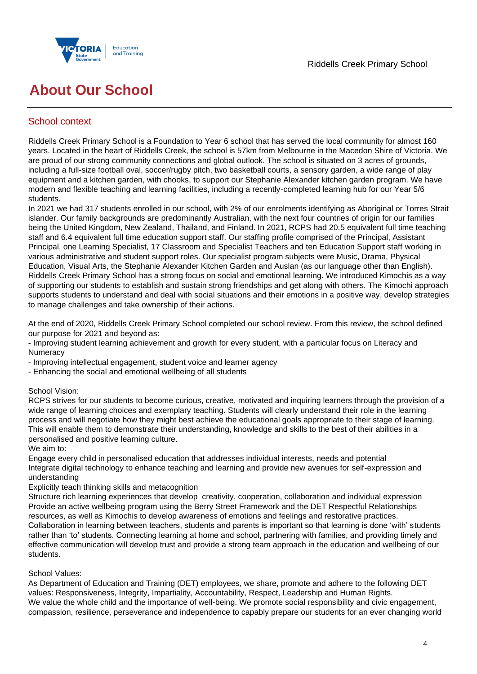

# **About Our School**

# School context

Riddells Creek Primary School is a Foundation to Year 6 school that has served the local community for almost 160 years. Located in the heart of Riddells Creek, the school is 57km from Melbourne in the Macedon Shire of Victoria. We are proud of our strong community connections and global outlook. The school is situated on 3 acres of grounds, including a full-size football oval, soccer/rugby pitch, two basketball courts, a sensory garden, a wide range of play equipment and a kitchen garden, with chooks, to support our Stephanie Alexander kitchen garden program. We have modern and flexible teaching and learning facilities, including a recently-completed learning hub for our Year 5/6 students.

In 2021 we had 317 students enrolled in our school, with 2% of our enrolments identifying as Aboriginal or Torres Strait islander. Our family backgrounds are predominantly Australian, with the next four countries of origin for our families being the United Kingdom, New Zealand, Thailand, and Finland. In 2021, RCPS had 20.5 equivalent full time teaching staff and 6.4 equivalent full time education support staff. Our staffing profile comprised of the Principal, Assistant Principal, one Learning Specialist, 17 Classroom and Specialist Teachers and ten Education Support staff working in various administrative and student support roles. Our specialist program subjects were Music, Drama, Physical Education, Visual Arts, the Stephanie Alexander Kitchen Garden and Auslan (as our language other than English). Riddells Creek Primary School has a strong focus on social and emotional learning. We introduced Kimochis as a way of supporting our students to establish and sustain strong friendships and get along with others. The Kimochi approach supports students to understand and deal with social situations and their emotions in a positive way, develop strategies to manage challenges and take ownership of their actions.

At the end of 2020, Riddells Creek Primary School completed our school review. From this review, the school defined our purpose for 2021 and beyond as:

- Improving student learning achievement and growth for every student, with a particular focus on Literacy and **Numeracy**
- Improving intellectual engagement, student voice and learner agency
- Enhancing the social and emotional wellbeing of all students

### School Vision:

RCPS strives for our students to become curious, creative, motivated and inquiring learners through the provision of a wide range of learning choices and exemplary teaching. Students will clearly understand their role in the learning process and will negotiate how they might best achieve the educational goals appropriate to their stage of learning. This will enable them to demonstrate their understanding, knowledge and skills to the best of their abilities in a personalised and positive learning culture.

We aim to:

Engage every child in personalised education that addresses individual interests, needs and potential Integrate digital technology to enhance teaching and learning and provide new avenues for self-expression and understanding

### Explicitly teach thinking skills and metacognition

Structure rich learning experiences that develop creativity, cooperation, collaboration and individual expression Provide an active wellbeing program using the Berry Street Framework and the DET Respectful Relationships resources, as well as Kimochis to develop awareness of emotions and feelings and restorative practices. Collaboration in learning between teachers, students and parents is important so that learning is done 'with' students rather than 'to' students. Connecting learning at home and school, partnering with families, and providing timely and effective communication will develop trust and provide a strong team approach in the education and wellbeing of our students.

### School Values:

As Department of Education and Training (DET) employees, we share, promote and adhere to the following DET values: Responsiveness, Integrity, Impartiality, Accountability, Respect, Leadership and Human Rights. We value the whole child and the importance of well-being. We promote social responsibility and civic engagement, compassion, resilience, perseverance and independence to capably prepare our students for an ever changing world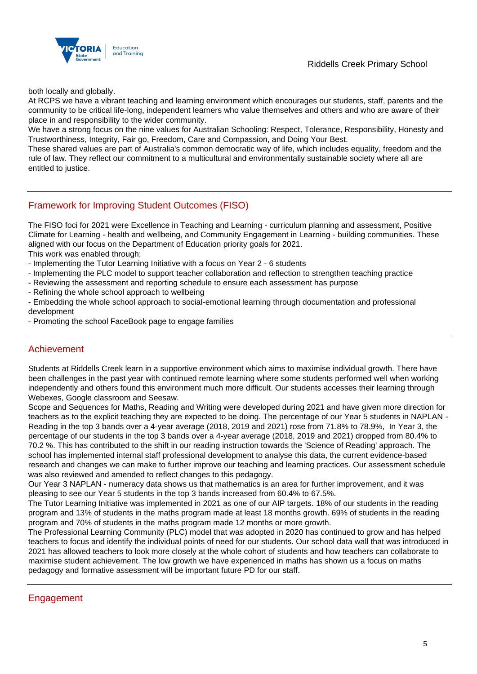

both locally and globally.

At RCPS we have a vibrant teaching and learning environment which encourages our students, staff, parents and the community to be critical life-long, independent learners who value themselves and others and who are aware of their place in and responsibility to the wider community.

We have a strong focus on the nine values for Australian Schooling: Respect, Tolerance, Responsibility, Honesty and Trustworthiness, Integrity, Fair go, Freedom, Care and Compassion, and Doing Your Best.

These shared values are part of Australia's common democratic way of life, which includes equality, freedom and the rule of law. They reflect our commitment to a multicultural and environmentally sustainable society where all are entitled to justice.

# Framework for Improving Student Outcomes (FISO)

The FISO foci for 2021 were Excellence in Teaching and Learning - curriculum planning and assessment, Positive Climate for Learning - health and wellbeing, and Community Engagement in Learning - building communities. These aligned with our focus on the Department of Education priority goals for 2021.

This work was enabled through;

- Implementing the Tutor Learning Initiative with a focus on Year 2 6 students
- Implementing the PLC model to support teacher collaboration and reflection to strengthen teaching practice
- Reviewing the assessment and reporting schedule to ensure each assessment has purpose
- Refining the whole school approach to wellbeing
- Embedding the whole school approach to social-emotional learning through documentation and professional development
- Promoting the school FaceBook page to engage families

## Achievement

Students at Riddells Creek learn in a supportive environment which aims to maximise individual growth. There have been challenges in the past year with continued remote learning where some students performed well when working independently and others found this environment much more difficult. Our students accesses their learning through Webexes, Google classroom and Seesaw.

Scope and Sequences for Maths, Reading and Writing were developed during 2021 and have given more direction for teachers as to the explicit teaching they are expected to be doing. The percentage of our Year 5 students in NAPLAN - Reading in the top 3 bands over a 4-year average (2018, 2019 and 2021) rose from 71.8% to 78.9%, In Year 3, the percentage of our students in the top 3 bands over a 4-year average (2018, 2019 and 2021) dropped from 80.4% to 70.2 %. This has contributed to the shift in our reading instruction towards the 'Science of Reading' approach. The school has implemented internal staff professional development to analyse this data, the current evidence-based research and changes we can make to further improve our teaching and learning practices. Our assessment schedule was also reviewed and amended to reflect changes to this pedagogy.

Our Year 3 NAPLAN - numeracy data shows us that mathematics is an area for further improvement, and it was pleasing to see our Year 5 students in the top 3 bands increased from 60.4% to 67.5%.

The Tutor Learning Initiative was implemented in 2021 as one of our AIP targets. 18% of our students in the reading program and 13% of students in the maths program made at least 18 months growth. 69% of students in the reading program and 70% of students in the maths program made 12 months or more growth.

The Professional Learning Community (PLC) model that was adopted in 2020 has continued to grow and has helped teachers to focus and identify the individual points of need for our students. Our school data wall that was introduced in 2021 has allowed teachers to look more closely at the whole cohort of students and how teachers can collaborate to maximise student achievement. The low growth we have experienced in maths has shown us a focus on maths pedagogy and formative assessment will be important future PD for our staff.

## **Engagement**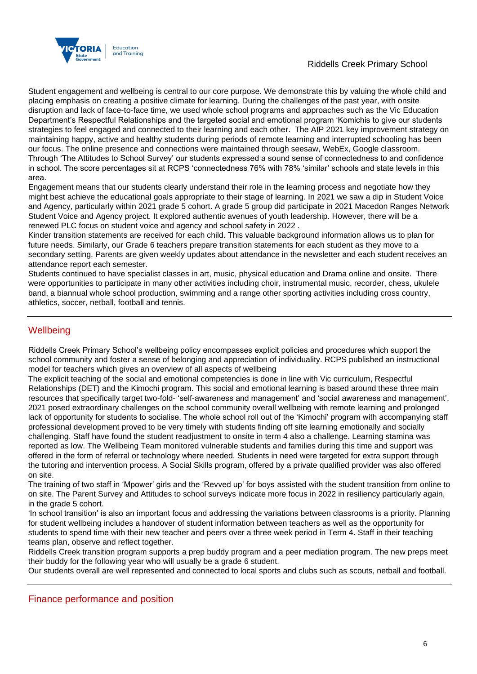## Riddells Creek Primary School



Student engagement and wellbeing is central to our core purpose. We demonstrate this by valuing the whole child and placing emphasis on creating a positive climate for learning. During the challenges of the past year, with onsite disruption and lack of face-to-face time, we used whole school programs and approaches such as the Vic Education Department's Respectful Relationships and the targeted social and emotional program 'Komichis to give our students strategies to feel engaged and connected to their learning and each other. The AIP 2021 key improvement strategy on maintaining happy, active and healthy students during periods of remote learning and interrupted schooling has been our focus. The online presence and connections were maintained through seesaw, WebEx, Google classroom. Through 'The Attitudes to School Survey' our students expressed a sound sense of connectedness to and confidence in school. The score percentages sit at RCPS 'connectedness 76% with 78% 'similar' schools and state levels in this area.

Engagement means that our students clearly understand their role in the learning process and negotiate how they might best achieve the educational goals appropriate to their stage of learning. In 2021 we saw a dip in Student Voice and Agency, particularly within 2021 grade 5 cohort. A grade 5 group did participate in 2021 Macedon Ranges Network Student Voice and Agency project. It explored authentic avenues of youth leadership. However, there will be a renewed PLC focus on student voice and agency and school safety in 2022 .

Kinder transition statements are received for each child. This valuable background information allows us to plan for future needs. Similarly, our Grade 6 teachers prepare transition statements for each student as they move to a secondary setting. Parents are given weekly updates about attendance in the newsletter and each student receives an attendance report each semester.

Students continued to have specialist classes in art, music, physical education and Drama online and onsite. There were opportunities to participate in many other activities including choir, instrumental music, recorder, chess, ukulele band, a biannual whole school production, swimming and a range other sporting activities including cross country, athletics, soccer, netball, football and tennis.

## **Wellbeing**

Riddells Creek Primary School's wellbeing policy encompasses explicit policies and procedures which support the school community and foster a sense of belonging and appreciation of individuality. RCPS published an instructional model for teachers which gives an overview of all aspects of wellbeing

The explicit teaching of the social and emotional competencies is done in line with Vic curriculum, Respectful Relationships (DET) and the Kimochi program. This social and emotional learning is based around these three main resources that specifically target two-fold- 'self-awareness and management' and 'social awareness and management'. 2021 posed extraordinary challenges on the school community overall wellbeing with remote learning and prolonged lack of opportunity for students to socialise. The whole school roll out of the 'Kimochi' program with accompanying staff professional development proved to be very timely with students finding off site learning emotionally and socially challenging. Staff have found the student readjustment to onsite in term 4 also a challenge. Learning stamina was reported as low. The Wellbeing Team monitored vulnerable students and families during this time and support was offered in the form of referral or technology where needed. Students in need were targeted for extra support through the tutoring and intervention process. A Social Skills program, offered by a private qualified provider was also offered on site.

The training of two staff in 'Mpower' girls and the 'Revved up' for boys assisted with the student transition from online to on site. The Parent Survey and Attitudes to school surveys indicate more focus in 2022 in resiliency particularly again, in the grade 5 cohort.

'In school transition' is also an important focus and addressing the variations between classrooms is a priority. Planning for student wellbeing includes a handover of student information between teachers as well as the opportunity for students to spend time with their new teacher and peers over a three week period in Term 4. Staff in their teaching teams plan, observe and reflect together.

Riddells Creek transition program supports a prep buddy program and a peer mediation program. The new preps meet their buddy for the following year who will usually be a grade 6 student.

Our students overall are well represented and connected to local sports and clubs such as scouts, netball and football.

Finance performance and position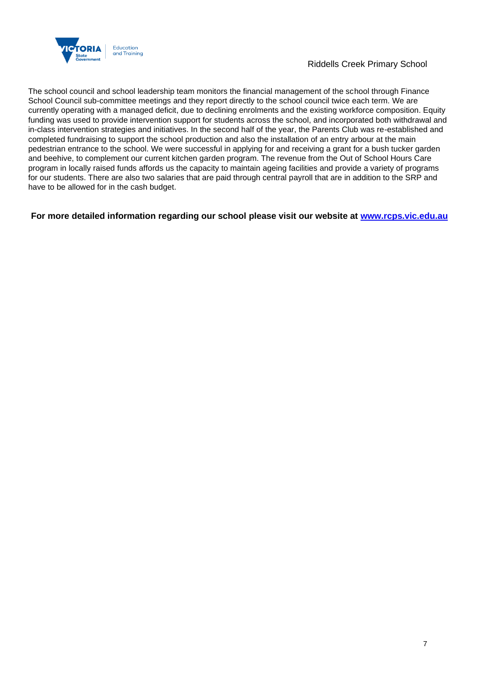

## Riddells Creek Primary School

The school council and school leadership team monitors the financial management of the school through Finance School Council sub-committee meetings and they report directly to the school council twice each term. We are currently operating with a managed deficit, due to declining enrolments and the existing workforce composition. Equity funding was used to provide intervention support for students across the school, and incorporated both withdrawal and in-class intervention strategies and initiatives. In the second half of the year, the Parents Club was re-established and completed fundraising to support the school production and also the installation of an entry arbour at the main pedestrian entrance to the school. We were successful in applying for and receiving a grant for a bush tucker garden and beehive, to complement our current kitchen garden program. The revenue from the Out of School Hours Care program in locally raised funds affords us the capacity to maintain ageing facilities and provide a variety of programs for our students. There are also two salaries that are paid through central payroll that are in addition to the SRP and have to be allowed for in the cash budget.

### **For more detailed information regarding our school please visit our website at<www.rcps.vic.edu.au>**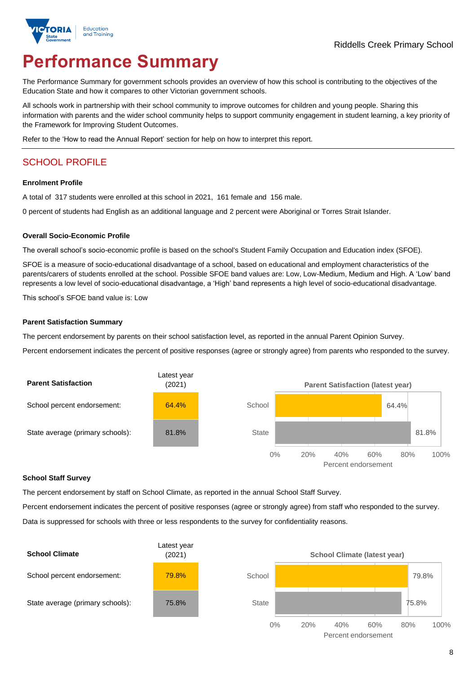

# **Performance Summary**

The Performance Summary for government schools provides an overview of how this school is contributing to the objectives of the Education State and how it compares to other Victorian government schools.

All schools work in partnership with their school community to improve outcomes for children and young people. Sharing this information with parents and the wider school community helps to support community engagement in student learning, a key priority of the Framework for Improving Student Outcomes.

Refer to the 'How to read the Annual Report' section for help on how to interpret this report.

# SCHOOL PROFILE

#### **Enrolment Profile**

A total of 317 students were enrolled at this school in 2021, 161 female and 156 male.

0 percent of students had English as an additional language and 2 percent were Aboriginal or Torres Strait Islander.

#### **Overall Socio-Economic Profile**

The overall school's socio-economic profile is based on the school's Student Family Occupation and Education index (SFOE).

SFOE is a measure of socio-educational disadvantage of a school, based on educational and employment characteristics of the parents/carers of students enrolled at the school. Possible SFOE band values are: Low, Low-Medium, Medium and High. A 'Low' band represents a low level of socio-educational disadvantage, a 'High' band represents a high level of socio-educational disadvantage.

This school's SFOE band value is: Low

#### **Parent Satisfaction Summary**

The percent endorsement by parents on their school satisfaction level, as reported in the annual Parent Opinion Survey.

Percent endorsement indicates the percent of positive responses (agree or strongly agree) from parents who responded to the survey.



#### **School Staff Survey**

The percent endorsement by staff on School Climate, as reported in the annual School Staff Survey.

Percent endorsement indicates the percent of positive responses (agree or strongly agree) from staff who responded to the survey. Data is suppressed for schools with three or less respondents to the survey for confidentiality reasons.

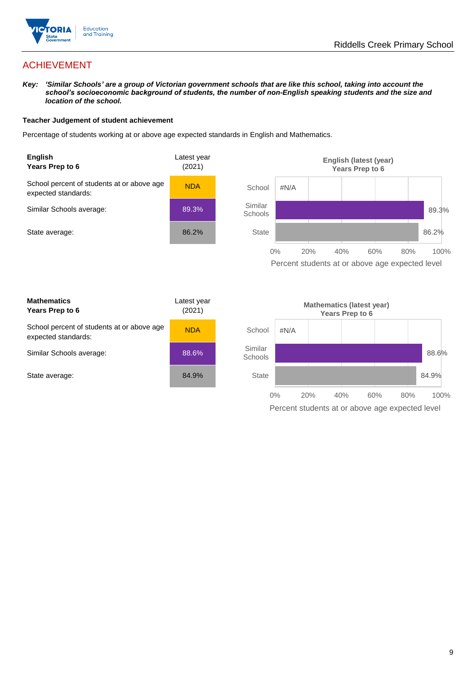

# ACHIEVEMENT

*Key: 'Similar Schools' are a group of Victorian government schools that are like this school, taking into account the school's socioeconomic background of students, the number of non-English speaking students and the size and location of the school.*

#### **Teacher Judgement of student achievement**

Percentage of students working at or above age expected standards in English and Mathematics.



| <b>Mathematics</b><br>Years Prep to 6                             | Latest year<br>(2021) |  |
|-------------------------------------------------------------------|-----------------------|--|
| School percent of students at or above age<br>expected standards: | <b>NDA</b>            |  |
| Similar Schools average:                                          | 88.6%                 |  |
| State average:                                                    | 84.9%                 |  |

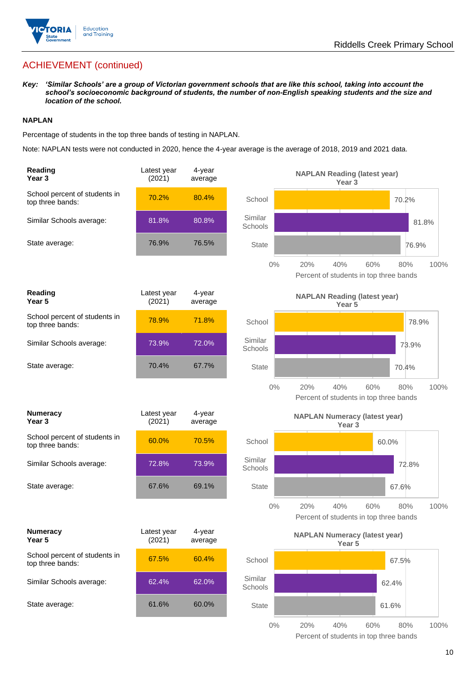

# ACHIEVEMENT (continued)

*Key: 'Similar Schools' are a group of Victorian government schools that are like this school, taking into account the school's socioeconomic background of students, the number of non-English speaking students and the size and location of the school.*

#### **NAPLAN**

Percentage of students in the top three bands of testing in NAPLAN.

Note: NAPLAN tests were not conducted in 2020, hence the 4-year average is the average of 2018, 2019 and 2021 data.

| Reading<br>Year 3                                 | Latest year<br>(2021) | 4-year<br>average |                    | <b>NAPLAN Reading (latest year)</b><br>Year <sub>3</sub>                   |
|---------------------------------------------------|-----------------------|-------------------|--------------------|----------------------------------------------------------------------------|
| School percent of students in<br>top three bands: | 70.2%                 | 80.4%             | School             | 70.2%                                                                      |
| Similar Schools average:                          | 81.8%                 | 80.8%             | Similar<br>Schools | 81.8%                                                                      |
| State average:                                    | 76.9%                 | 76.5%             | <b>State</b>       | 76.9%                                                                      |
|                                                   |                       |                   | $0\%$              | 20%<br>40%<br>60%<br>80%<br>100%<br>Percent of students in top three bands |
| Reading<br>Year 5                                 | Latest year<br>(2021) | 4-year<br>average |                    | <b>NAPLAN Reading (latest year)</b><br>Year <sub>5</sub>                   |
| School percent of students in<br>top three bands: | 78.9%                 | 71.8%             | School             | 78.9%                                                                      |
| Similar Schools average:                          | 73.9%                 | 72.0%             | Similar<br>Schools | 73.9%                                                                      |
| State average:                                    | 70.4%                 | 67.7%             | <b>State</b>       | 70.4%                                                                      |
|                                                   |                       |                   | $0\%$              | 20%<br>40%<br>60%<br>80%<br>100%<br>Percent of students in top three bands |
| <b>Numeracy</b><br>Year <sub>3</sub>              | Latest year<br>(2021) | 4-year<br>average |                    | <b>NAPLAN Numeracy (latest year)</b><br>Year <sub>3</sub>                  |
| School percent of students in<br>top three bands: | 60.0%                 | 70.5%             | School             | 60.0%                                                                      |
| Similar Schools average:                          | 72.8%                 | 73.9%             | Similar<br>Schools | 72.8%                                                                      |
| State average:                                    | 67.6%                 | 69.1%             | <b>State</b>       | 67.6%                                                                      |
|                                                   |                       |                   | $0\%$              | 20%<br>40%<br>60%<br>80%<br>100%<br>Percent of students in top three bands |
| <b>Numeracy</b><br>Year 5                         | Latest year<br>(2021) | 4-year<br>average |                    | <b>NAPLAN Numeracy (latest year)</b><br>Year 5                             |
| School percent of students in<br>top three bands: | 67.5%                 | 60.4%             | School             | 67.5%                                                                      |
| Similar Schools average:                          | 62.4%                 | 62.0%             | Similar<br>Schools | 62.4%                                                                      |
| State average:                                    | 61.6%                 | 60.0%             | State              | 61.6%                                                                      |
|                                                   |                       |                   | $0\%$              | 40%<br>20%<br>60%<br>80%<br>100%                                           |

Percent of students in top three bands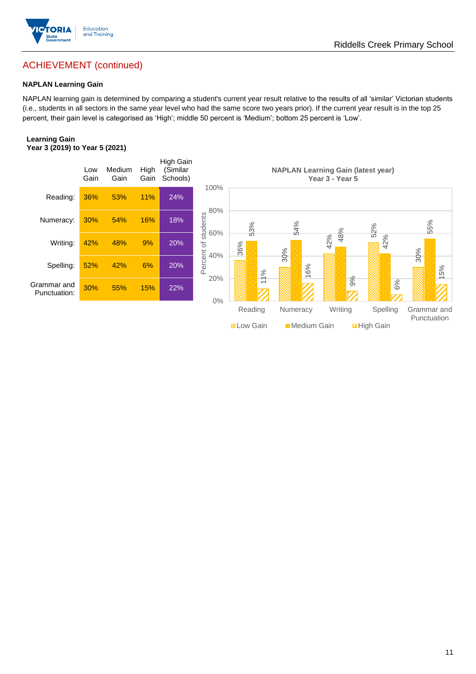

# ACHIEVEMENT (continued)

### **NAPLAN Learning Gain**

NAPLAN learning gain is determined by comparing a student's current year result relative to the results of all 'similar' Victorian students (i.e., students in all sectors in the same year level who had the same score two years prior). If the current year result is in the top 25 percent, their gain level is categorised as 'High'; middle 50 percent is 'Medium'; bottom 25 percent is 'Low'.

Riddells Creek Primary School

#### **Learning Gain Year 3 (2019) to Year 5 (2021)**

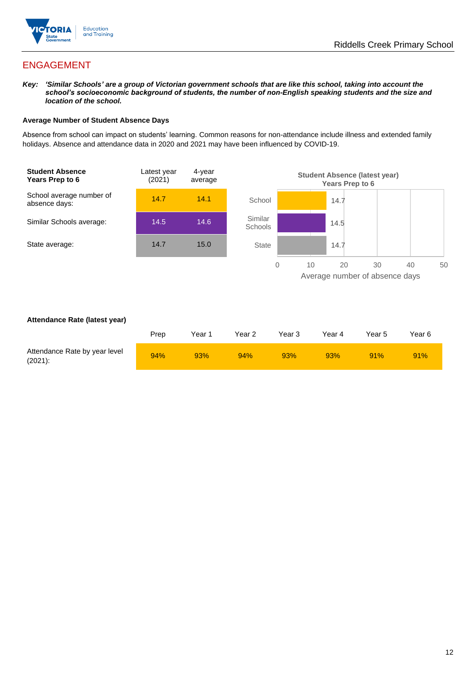

# ENGAGEMENT

*Key: 'Similar Schools' are a group of Victorian government schools that are like this school, taking into account the school's socioeconomic background of students, the number of non-English speaking students and the size and location of the school.*

#### **Average Number of Student Absence Days**

Absence from school can impact on students' learning. Common reasons for non-attendance include illness and extended family holidays. Absence and attendance data in 2020 and 2021 may have been influenced by COVID-19.



#### **Attendance Rate (latest year)**

|                                             | Prep | Year 1 | Year 2 | Year 3 | Year 4 | Year 5 | Year 6 |
|---------------------------------------------|------|--------|--------|--------|--------|--------|--------|
| Attendance Rate by year level<br>$(2021)$ : | 94%  | 93%    | 94%    | 93%    | 93%    | 91%    | 91%    |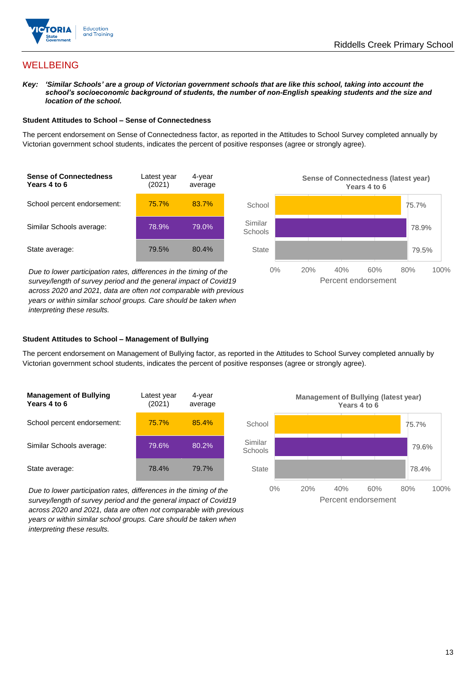

## **WELLBEING**

*Key: 'Similar Schools' are a group of Victorian government schools that are like this school, taking into account the school's socioeconomic background of students, the number of non-English speaking students and the size and location of the school.*

#### **Student Attitudes to School – Sense of Connectedness**

The percent endorsement on Sense of Connectedness factor, as reported in the Attitudes to School Survey completed annually by Victorian government school students, indicates the percent of positive responses (agree or strongly agree).



*Due to lower participation rates, differences in the timing of the survey/length of survey period and the general impact of Covid19 across 2020 and 2021, data are often not comparable with previous years or within similar school groups. Care should be taken when interpreting these results.*



#### **Student Attitudes to School – Management of Bullying**

The percent endorsement on Management of Bullying factor, as reported in the Attitudes to School Survey completed annually by Victorian government school students, indicates the percent of positive responses (agree or strongly agree).

| <b>Management of Bullying</b><br>Years 4 to 6 | Latest year<br>(2021) | 4-year<br>average |  |
|-----------------------------------------------|-----------------------|-------------------|--|
| School percent endorsement:                   | 75.7%                 | 85.4%             |  |
| Similar Schools average:                      | 79.6%                 | 80.2%             |  |
| State average:                                | 78.4%                 | 79.7%             |  |

*Due to lower participation rates, differences in the timing of the survey/length of survey period and the general impact of Covid19 across 2020 and 2021, data are often not comparable with previous years or within similar school groups. Care should be taken when interpreting these results.*

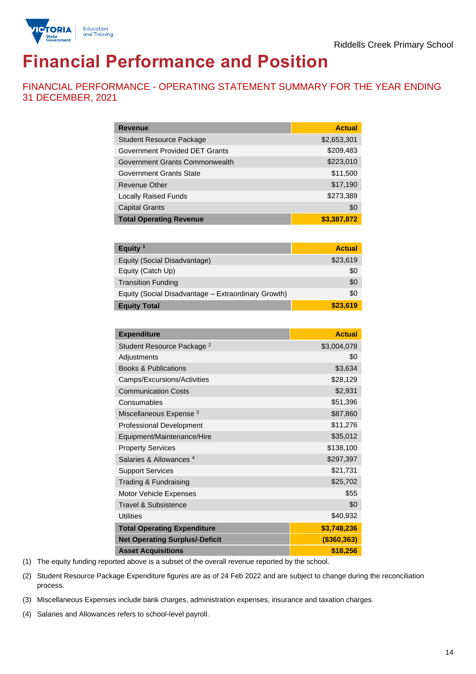

# **Financial Performance and Position**

FINANCIAL PERFORMANCE - OPERATING STATEMENT SUMMARY FOR THE YEAR ENDING 31 DECEMBER, 2021

| <b>Revenue</b>                  | <b>Actual</b> |
|---------------------------------|---------------|
| <b>Student Resource Package</b> | \$2,653,301   |
| Government Provided DET Grants  | \$209,483     |
| Government Grants Commonwealth  | \$223,010     |
| Government Grants State         | \$11,500      |
| Revenue Other                   | \$17,190      |
| <b>Locally Raised Funds</b>     | \$273,389     |
| <b>Capital Grants</b>           | \$0           |
| <b>Total Operating Revenue</b>  | \$3,387,872   |

| Equity $1$                                          | <b>Actual</b> |
|-----------------------------------------------------|---------------|
| Equity (Social Disadvantage)                        | \$23,619      |
| Equity (Catch Up)                                   | \$0           |
| <b>Transition Funding</b>                           | \$0           |
| Equity (Social Disadvantage - Extraordinary Growth) | \$0           |
| <b>Equity Total</b>                                 | \$23,619      |

| <b>Expenditure</b>                    | <b>Actual</b> |
|---------------------------------------|---------------|
| Student Resource Package <sup>2</sup> | \$3,004,078   |
| Adjustments                           | \$0           |
| <b>Books &amp; Publications</b>       | \$3,634       |
| Camps/Excursions/Activities           | \$28,129      |
| <b>Communication Costs</b>            | \$2,931       |
| Consumables                           | \$51,396      |
| Miscellaneous Expense <sup>3</sup>    | \$87,860      |
| <b>Professional Development</b>       | \$11,276      |
| Equipment/Maintenance/Hire            | \$35,012      |
| <b>Property Services</b>              | \$138,100     |
| Salaries & Allowances <sup>4</sup>    | \$297,397     |
| <b>Support Services</b>               | \$21,731      |
| Trading & Fundraising                 | \$25,702      |
| Motor Vehicle Expenses                | \$55          |
| <b>Travel &amp; Subsistence</b>       | \$0           |
| <b>Utilities</b>                      | \$40,932      |
| <b>Total Operating Expenditure</b>    | \$3,748,236   |
| <b>Net Operating Surplus/-Deficit</b> | (\$360,363)   |
| <b>Asset Acquisitions</b>             | \$18,256      |

(1) The equity funding reported above is a subset of the overall revenue reported by the school.

(2) Student Resource Package Expenditure figures are as of 24 Feb 2022 and are subject to change during the reconciliation process.

(3) Miscellaneous Expenses include bank charges, administration expenses, insurance and taxation charges.

(4) Salaries and Allowances refers to school-level payroll.